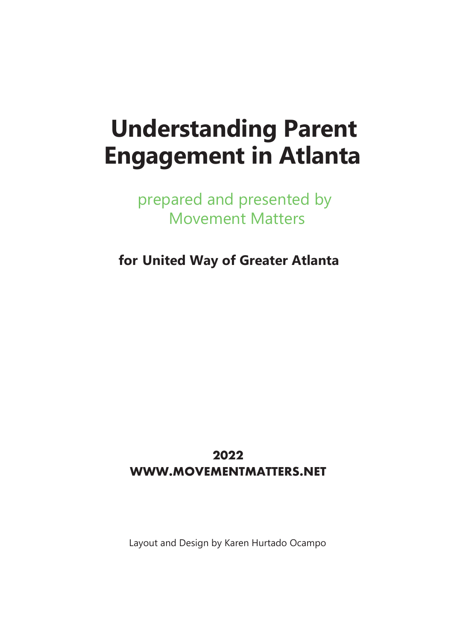# **Understanding Parent Engagement in Atlanta**

prepared and presented by Movement Matters

**for United Way of Greater Atlanta**

## **2022 WWW.MOVEMENTMATTERS.NET**

Layout and Design by Karen Hurtado Ocampo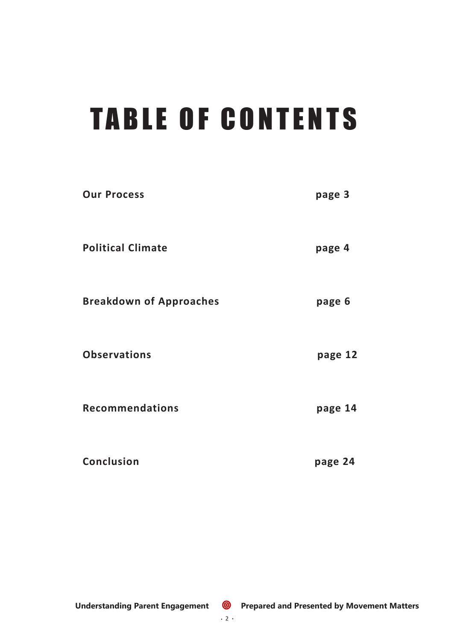# **TABLE OF CONTENTS**

| <b>Our Process</b>             | page 3  |
|--------------------------------|---------|
| <b>Political Climate</b>       | page 4  |
| <b>Breakdown of Approaches</b> | page 6  |
| <b>Observations</b>            | page 12 |
| <b>Recommendations</b>         | page 14 |
| Conclusion                     | page 24 |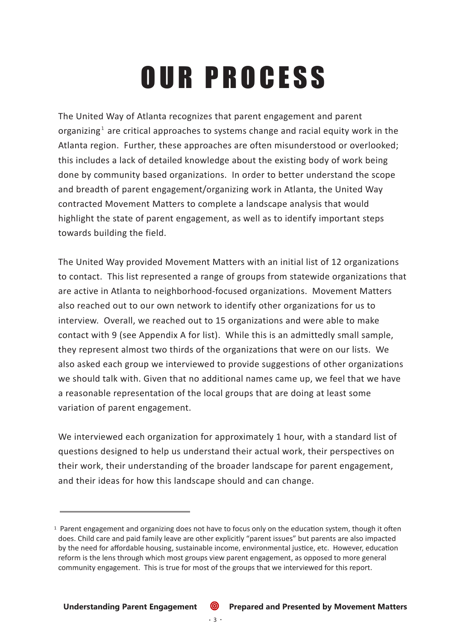# OUR PROCESS

The United Way of Atlanta recognizes that parent engagement and parent organizing<sup>1</sup> are critical approaches to systems change and racial equity work in the Atlanta region. Further, these approaches are often misunderstood or overlooked; this includes a lack of detailed knowledge about the existing body of work being done by community based organizations. In order to better understand the scope and breadth of parent engagement/organizing work in Atlanta, the United Way contracted Movement Matters to complete a landscape analysis that would highlight the state of parent engagement, as well as to identify important steps towards building the field.

The United Way provided Movement Matters with an initial list of 12 organizations to contact. This list represented a range of groups from statewide organizations that are active in Atlanta to neighborhood-focused organizations. Movement Matters also reached out to our own network to identify other organizations for us to interview. Overall, we reached out to 15 organizations and were able to make contact with 9 (see Appendix A for list). While this is an admittedly small sample, they represent almost two thirds of the organizations that were on our lists. We also asked each group we interviewed to provide suggestions of other organizations we should talk with. Given that no additional names came up, we feel that we have a reasonable representation of the local groups that are doing at least some variation of parent engagement.

We interviewed each organization for approximately 1 hour, with a standard list of questions designed to help us understand their actual work, their perspectives on their work, their understanding of the broader landscape for parent engagement, and their ideas for how this landscape should and can change.

 $1$  Parent engagement and organizing does not have to focus only on the education system, though it often does. Child care and paid family leave are other explicitly "parent issues" but parents are also impacted by the need for affordable housing, sustainable income, environmental justice, etc. However, education reform is the lens through which most groups view parent engagement, as opposed to more general community engagement. This is true for most of the groups that we interviewed for this report.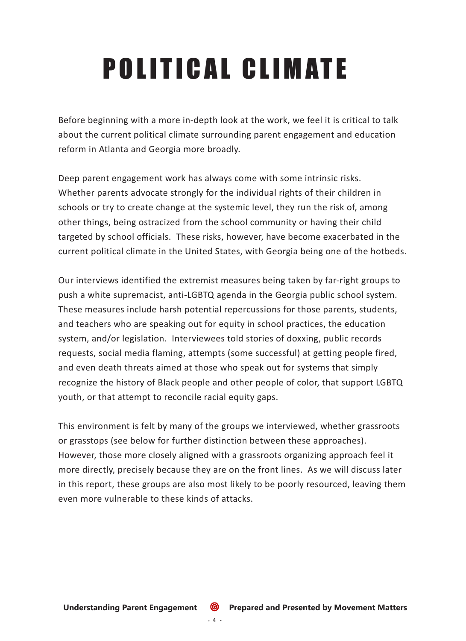# POLITICAL CLIMATE

Before beginning with a more in-depth look at the work, we feel it is critical to talk about the current political climate surrounding parent engagement and education reform in Atlanta and Georgia more broadly.

Deep parent engagement work has always come with some intrinsic risks. Whether parents advocate strongly for the individual rights of their children in schools or try to create change at the systemic level, they run the risk of, among other things, being ostracized from the school community or having their child targeted by school officials. These risks, however, have become exacerbated in the current political climate in the United States, with Georgia being one of the hotbeds.

Our interviews identified the extremist measures being taken by far-right groups to push a white supremacist, anti-LGBTQ agenda in the Georgia public school system. These measures include harsh potential repercussions for those parents, students, and teachers who are speaking out for equity in school practices, the education system, and/or legislation. Interviewees told stories of doxxing, public records requests, social media flaming, attempts (some successful) at getting people fired, and even death threats aimed at those who speak out for systems that simply recognize the history of Black people and other people of color, that support LGBTQ youth, or that attempt to reconcile racial equity gaps.

This environment is felt by many of the groups we interviewed, whether grassroots or grasstops (see below for further distinction between these approaches). However, those more closely aligned with a grassroots organizing approach feel it more directly, precisely because they are on the front lines. As we will discuss later in this report, these groups are also most likely to be poorly resourced, leaving them even more vulnerable to these kinds of attacks.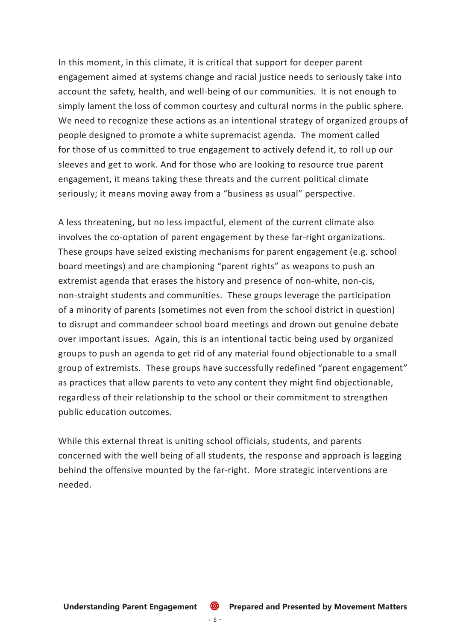In this moment, in this climate, it is critical that support for deeper parent engagement aimed at systems change and racial justice needs to seriously take into account the safety, health, and well-being of our communities. It is not enough to simply lament the loss of common courtesy and cultural norms in the public sphere. We need to recognize these actions as an intentional strategy of organized groups of people designed to promote a white supremacist agenda. The moment called for those of us committed to true engagement to actively defend it, to roll up our sleeves and get to work. And for those who are looking to resource true parent engagement, it means taking these threats and the current political climate seriously; it means moving away from a "business as usual" perspective.

A less threatening, but no less impactful, element of the current climate also involves the co-optation of parent engagement by these far-right organizations. These groups have seized existing mechanisms for parent engagement (e.g. school board meetings) and are championing "parent rights" as weapons to push an extremist agenda that erases the history and presence of non-white, non-cis, non-straight students and communities. These groups leverage the participation of a minority of parents (sometimes not even from the school district in question) to disrupt and commandeer school board meetings and drown out genuine debate over important issues. Again, this is an intentional tactic being used by organized groups to push an agenda to get rid of any material found objectionable to a small group of extremists. These groups have successfully redefined "parent engagement" as practices that allow parents to veto any content they might find objectionable, regardless of their relationship to the school or their commitment to strengthen public education outcomes.

While this external threat is uniting school officials, students, and parents concerned with the well being of all students, the response and approach is lagging behind the offensive mounted by the far-right. More strategic interventions are needed.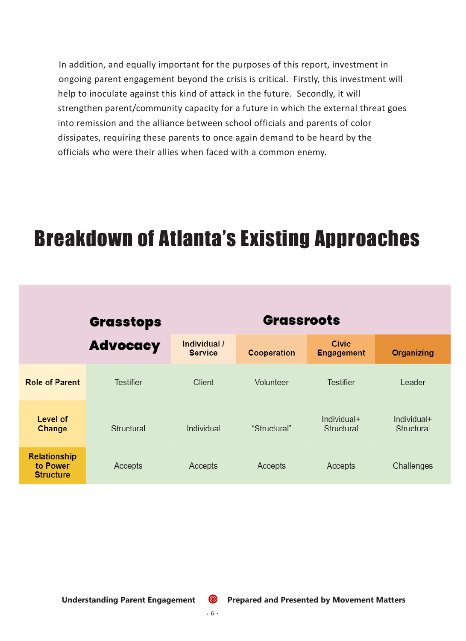In addition, and equally important for the purposes of this report, investment in ongoing parent engagement beyond the crisis is critical. Firstly, this investment will help to inoculate against this kind of attack in the future. Secondly, it will strengthen parent/community capacity for a future in which the external threat goes into remission and the alliance between school officials and parents of color dissipates, requiring these parents to once again demand to be heard by the officials who were their allies when faced with a common enemy.

# Breakdown of Atlanta's Existing Approaches

|                                                     | Grasstops        | <b>Grassroots</b>              |              |                                   |                           |
|-----------------------------------------------------|------------------|--------------------------------|--------------|-----------------------------------|---------------------------|
|                                                     | <b>Advocacy</b>  | Individual /<br><b>Service</b> | Cooperation  | <b>Civic</b><br><b>Engagement</b> | <b>Organizing</b>         |
| <b>Role of Parent</b>                               | <b>Testifier</b> | Client                         | Volunteer    | <b>Testifier</b>                  | Leader                    |
| Level of<br>Change                                  | Structural       | Individual                     | "Structural" | Individual+<br>Structural         | Individual+<br>Structural |
| <b>Relationship</b><br>to Power<br><b>Structure</b> | Accepts          | Accepts                        | Accepts      | Accepts                           | Challenges                |

.<sup>6</sup> .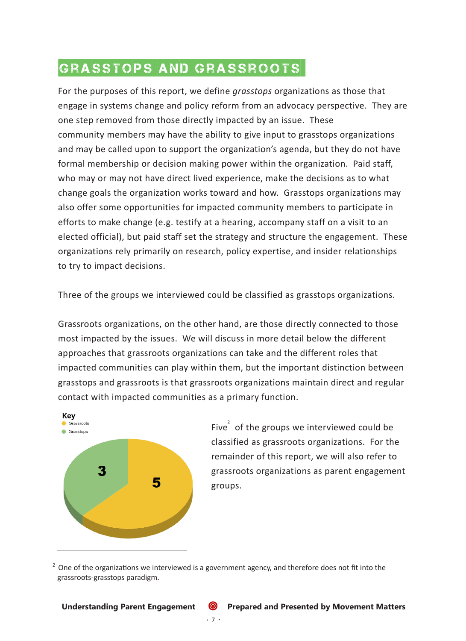## Grasstops and Grassroots

For the purposes of this report, we define *grasstops* organizations as those that engage in systems change and policy reform from an advocacy perspective. They are one step removed from those directly impacted by an issue. These community members may have the ability to give input to grasstops organizations and may be called upon to support the organization's agenda, but they do not have formal membership or decision making power within the organization. Paid staff, who may or may not have direct lived experience, make the decisions as to what change goals the organization works toward and how. Grasstops organizations may also offer some opportunities for impacted community members to participate in efforts to make change (e.g. testify at a hearing, accompany staff on a visit to an elected official), but paid staff set the strategy and structure the engagement. These organizations rely primarily on research, policy expertise, and insider relationships to try to impact decisions.

Three of the groups we interviewed could be classified as grasstops organizations.

Grassroots organizations, on the other hand, are those directly connected to those most impacted by the issues. We will discuss in more detail below the different approaches that grassroots organizations can take and the different roles that impacted communities can play within them, but the important distinction between grasstops and grassroots is that grassroots organizations maintain direct and regular contact with impacted communities as a primary function.



Five<sup>2</sup> of the groups we interviewed could be classified as grassroots organizations. For the remainder of this report, we will also refer to grassroots organizations as parent engagement groups.

One of the organizations we interviewed is a government agency, and therefore does not fit into the grassroots-grasstops paradigm. 2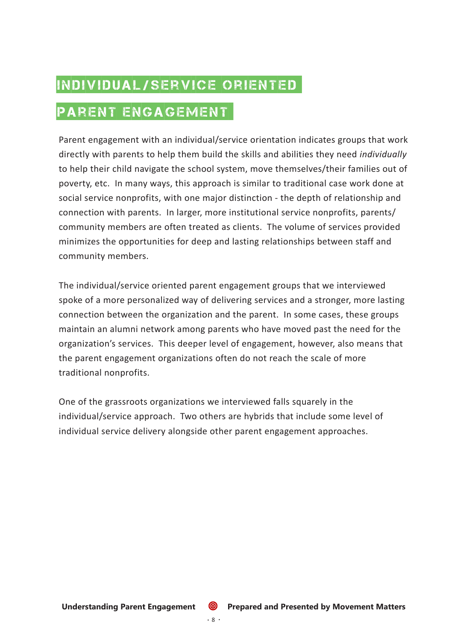# Individual/Service Oriented

## Parent Engagement

Parent engagement with an individual/service orientation indicates groups that work directly with parents to help them build the skills and abilities they need *individually*  to help their child navigate the school system, move themselves/their families out of poverty, etc. In many ways, this approach is similar to traditional case work done at social service nonprofits, with one major distinction - the depth of relationship and connection with parents. In larger, more institutional service nonprofits, parents/ community members are often treated as clients. The volume of services provided minimizes the opportunities for deep and lasting relationships between staff and community members.

The individual/service oriented parent engagement groups that we interviewed spoke of a more personalized way of delivering services and a stronger, more lasting connection between the organization and the parent. In some cases, these groups maintain an alumni network among parents who have moved past the need for the organization's services. This deeper level of engagement, however, also means that the parent engagement organizations often do not reach the scale of more traditional nonprofits.

One of the grassroots organizations we interviewed falls squarely in the individual/service approach. Two others are hybrids that include some level of individual service delivery alongside other parent engagement approaches.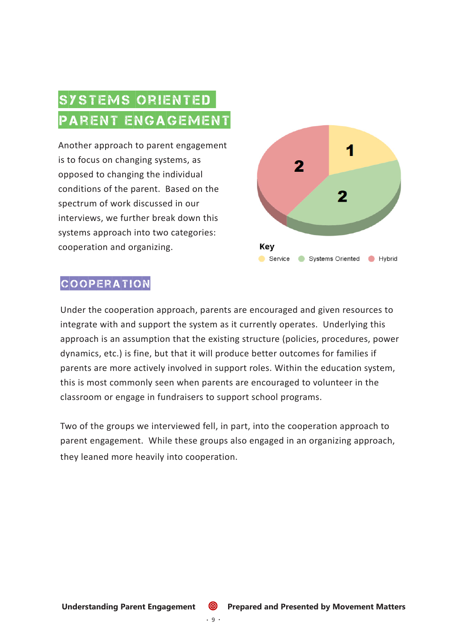# Systems Oriented Parent Engagement

Another approach to parent engagement is to focus on changing systems, as opposed to changing the individual conditions of the parent. Based on the spectrum of work discussed in our interviews, we further break down this systems approach into two categories: cooperation and organizing.



#### Cooperation

Under the cooperation approach, parents are encouraged and given resources to integrate with and support the system as it currently operates. Underlying this approach is an assumption that the existing structure (policies, procedures, power dynamics, etc.) is fine, but that it will produce better outcomes for families if parents are more actively involved in support roles. Within the education system, this is most commonly seen when parents are encouraged to volunteer in the classroom or engage in fundraisers to support school programs.

Two of the groups we interviewed fell, in part, into the cooperation approach to parent engagement. While these groups also engaged in an organizing approach, they leaned more heavily into cooperation.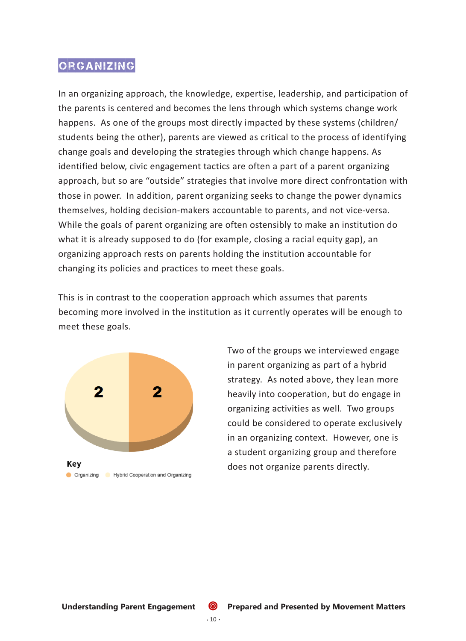#### **ORGANIZING**

In an organizing approach, the knowledge, expertise, leadership, and participation of the parents is centered and becomes the lens through which systems change work happens. As one of the groups most directly impacted by these systems (children/ students being the other), parents are viewed as critical to the process of identifying change goals and developing the strategies through which change happens. As identified below, civic engagement tactics are often a part of a parent organizing approach, but so are "outside" strategies that involve more direct confrontation with those in power. In addition, parent organizing seeks to change the power dynamics themselves, holding decision-makers accountable to parents, and not vice-versa. While the goals of parent organizing are often ostensibly to make an institution do what it is already supposed to do (for example, closing a racial equity gap), an organizing approach rests on parents holding the institution accountable for changing its policies and practices to meet these goals.

This is in contrast to the cooperation approach which assumes that parents becoming more involved in the institution as it currently operates will be enough to meet these goals.



Two of the groups we interviewed engage in parent organizing as part of a hybrid strategy. As noted above, they lean more heavily into cooperation, but do engage in organizing activities as well. Two groups could be considered to operate exclusively in an organizing context. However, one is a student organizing group and therefore does not organize parents directly.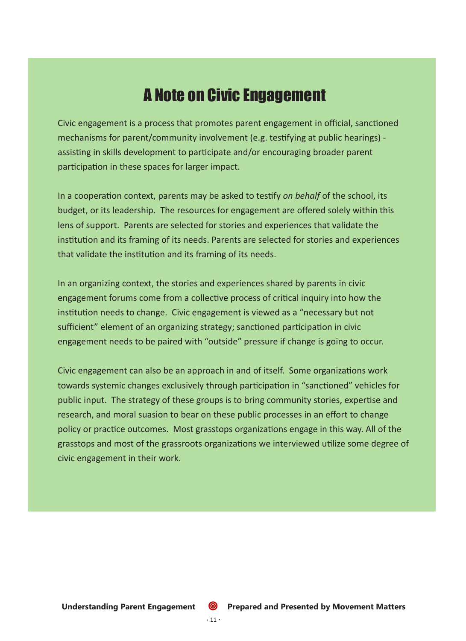# A Note on Civic Engagement

Civic engagement is a process that promotes parent engagement in official, sanctioned mechanisms for parent/community involvement (e.g. testifying at public hearings) assisting in skills development to participate and/or encouraging broader parent participation in these spaces for larger impact.

In a cooperation context, parents may be asked to testify *on behalf* of the school, its budget, or its leadership. The resources for engagement are offered solely within this lens of support. Parents are selected for stories and experiences that validate the institution and its framing of its needs. Parents are selected for stories and experiences that validate the institution and its framing of its needs.

In an organizing context, the stories and experiences shared by parents in civic engagement forums come from a collective process of critical inquiry into how the institution needs to change. Civic engagement is viewed as a "necessary but not sufficient" element of an organizing strategy; sanctioned participation in civic engagement needs to be paired with "outside" pressure if change is going to occur.

Civic engagement can also be an approach in and of itself. Some organizations work towards systemic changes exclusively through participation in "sanctioned" vehicles for public input. The strategy of these groups is to bring community stories, expertise and research, and moral suasion to bear on these public processes in an effort to change policy or practice outcomes. Most grasstops organizations engage in this way. All of the grasstops and most of the grassroots organizations we interviewed utilize some degree of civic engagement in their work.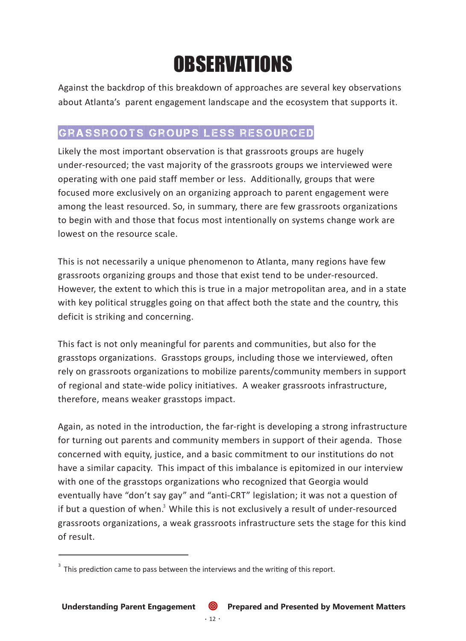# **OBSERVATIONS**

Against the backdrop of this breakdown of approaches are several key observations about Atlanta's parent engagement landscape and the ecosystem that supports it.

#### Grassroots groups less resourced

Likely the most important observation is that grassroots groups are hugely under-resourced; the vast majority of the grassroots groups we interviewed were operating with one paid staff member or less. Additionally, groups that were focused more exclusively on an organizing approach to parent engagement were among the least resourced. So, in summary, there are few grassroots organizations to begin with and those that focus most intentionally on systems change work are lowest on the resource scale.

This is not necessarily a unique phenomenon to Atlanta, many regions have few grassroots organizing groups and those that exist tend to be under-resourced. However, the extent to which this is true in a major metropolitan area, and in a state with key political struggles going on that affect both the state and the country, this deficit is striking and concerning.

This fact is not only meaningful for parents and communities, but also for the grasstops organizations. Grasstops groups, including those we interviewed, often rely on grassroots organizations to mobilize parents/community members in support of regional and state-wide policy initiatives. A weaker grassroots infrastructure, therefore, means weaker grasstops impact.

Again, as noted in the introduction, the far-right is developing a strong infrastructure for turning out parents and community members in support of their agenda. Those concerned with equity, justice, and a basic commitment to our institutions do not have a similar capacity. This impact of this imbalance is epitomized in our interview with one of the grasstops organizations who recognized that Georgia would eventually have "don't say gay" and "anti-CRT" legislation; it was not a question of if but a question of when.<sup>3</sup> While this is not exclusively a result of under-resourced grassroots organizations, a weak grassroots infrastructure sets the stage for this kind of result.

 $3$  This prediction came to pass between the interviews and the writing of this report.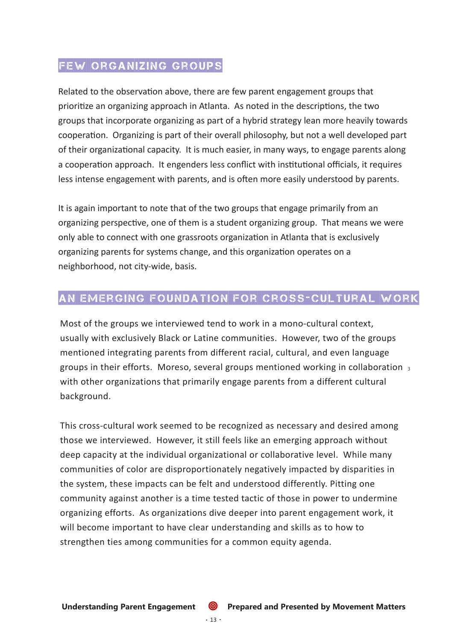#### Few Organizing Groups

Related to the observation above, there are few parent engagement groups that prioritize an organizing approach in Atlanta. As noted in the descriptions, the two groups that incorporate organizing as part of a hybrid strategy lean more heavily towards cooperation. Organizing is part of their overall philosophy, but not a well developed part of their organizational capacity. It is much easier, in many ways, to engage parents along a cooperation approach. It engenders less conflict with institutional officials, it requires less intense engagement with parents, and is often more easily understood by parents.

It is again important to note that of the two groups that engage primarily from an organizing perspective, one of them is a student organizing group. That means we were only able to connect with one grassroots organization in Atlanta that is exclusively organizing parents for systems change, and this organization operates on a neighborhood, not city-wide, basis.

#### An emerging foundation for Cross-cultural work

groups in their efforts. Moreso, several groups mentioned working in collaboration  $_3$ Most of the groups we interviewed tend to work in a mono-cultural context, usually with exclusively Black or Latine communities. However, two of the groups mentioned integrating parents from different racial, cultural, and even language with other organizations that primarily engage parents from a different cultural background.

This cross-cultural work seemed to be recognized as necessary and desired among those we interviewed. However, it still feels like an emerging approach without deep capacity at the individual organizational or collaborative level. While many communities of color are disproportionately negatively impacted by disparities in the system, these impacts can be felt and understood differently. Pitting one community against another is a time tested tactic of those in power to undermine organizing efforts. As organizations dive deeper into parent engagement work, it will become important to have clear understanding and skills as to how to strengthen ties among communities for a common equity agenda.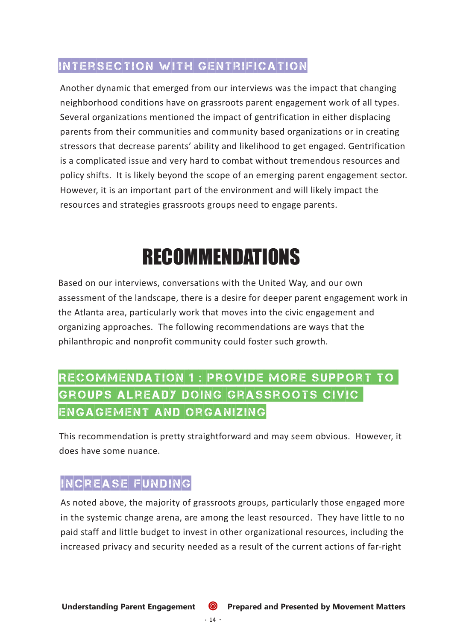#### Intersection with gentrification

Another dynamic that emerged from our interviews was the impact that changing neighborhood conditions have on grassroots parent engagement work of all types. Several organizations mentioned the impact of gentrification in either displacing parents from their communities and community based organizations or in creating stressors that decrease parents' ability and likelihood to get engaged. Gentrification is a complicated issue and very hard to combat without tremendous resources and policy shifts. It is likely beyond the scope of an emerging parent engagement sector. However, it is an important part of the environment and will likely impact the resources and strategies grassroots groups need to engage parents.

# RECOMMENDATIONS

Based on our interviews, conversations with the United Way, and our own assessment of the landscape, there is a desire for deeper parent engagement work in the Atlanta area, particularly work that moves into the civic engagement and organizing approaches. The following recommendations are ways that the philanthropic and nonprofit community could foster such growth.

## RECOMMENDATION 1 : Provide more support to groups already doing grassroots civic engagement and organizing

This recommendation is pretty straightforward and may seem obvious. However, it does have some nuance.

#### INCREASE FUNDING

As noted above, the majority of grassroots groups, particularly those engaged more in the systemic change arena, are among the least resourced. They have little to no paid staff and little budget to invest in other organizational resources, including the increased privacy and security needed as a result of the current actions of far-right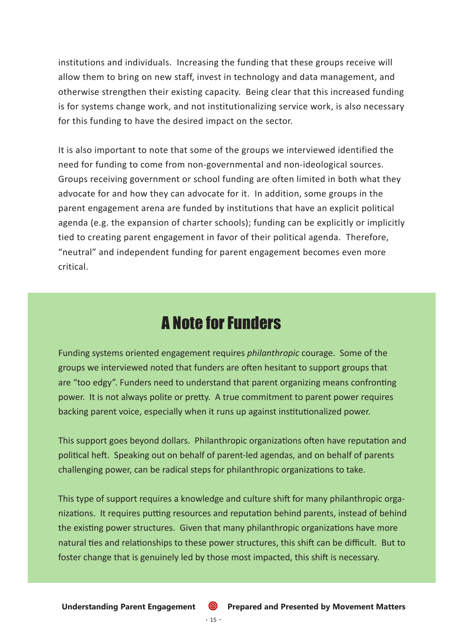institutions and individuals. Increasing the funding that these groups receive will allow them to bring on new staff, invest in technology and data management, and otherwise strengthen their existing capacity. Being clear that this increased funding is for systems change work, and not institutionalizing service work, is also necessary for this funding to have the desired impact on the sector.

It is also important to note that some of the groups we interviewed identified the need for funding to come from non-governmental and non-ideological sources. Groups receiving government or school funding are often limited in both what they advocate for and how they can advocate for it. In addition, some groups in the parent engagement arena are funded by institutions that have an explicit political agenda (e.g. the expansion of charter schools); funding can be explicitly or implicitly tied to creating parent engagement in favor of their political agenda. Therefore, "neutral" and independent funding for parent engagement becomes even more critical.

# A Note for Funders

Funding systems oriented engagement requires *philanthropic* courage. Some of the groups we interviewed noted that funders are often hesitant to support groups that are "too edgy". Funders need to understand that parent organizing means confronting power. It is not always polite or pretty. A true commitment to parent power requires backing parent voice, especially when it runs up against institutionalized power.

This support goes beyond dollars. Philanthropic organizations often have reputation and political heft. Speaking out on behalf of parent-led agendas, and on behalf of parents challenging power, can be radical steps for philanthropic organizations to take.

This type of support requires a knowledge and culture shift for many philanthropic organizations. It requires putting resources and reputation behind parents, instead of behind the existing power structures. Given that many philanthropic organizations have more natural ties and relationships to these power structures, this shift can be difficult. But to foster change that is genuinely led by those most impacted, this shift is necessary.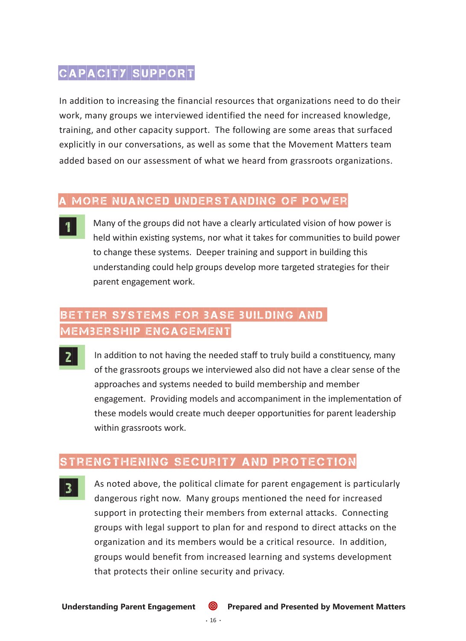#### CAPACITY SUPPORT

In addition to increasing the financial resources that organizations need to do their work, many groups we interviewed identified the need for increased knowledge, training, and other capacity support. The following are some areas that surfaced explicitly in our conversations, as well as some that the Movement Matters team added based on our assessment of what we heard from grassroots organizations.

#### A more nuanced understanding of power

Many of the groups did not have a clearly articulated vision of how power is held within existing systems, nor what it takes for communities to build power to change these systems. Deeper training and support in building this understanding could help groups develop more targeted strategies for their parent engagement work.

#### Better systems for base building and membership engagement

In addition to not having the needed staff to truly build a constituency, many of the grassroots groups we interviewed also did not have a clear sense of the approaches and systems needed to build membership and member engagement. Providing models and accompaniment in the implementation of these models would create much deeper opportunities for parent leadership within grassroots work.

#### Strengthening security and protection

As noted above, the political climate for parent engagement is particularly dangerous right now. Many groups mentioned the need for increased support in protecting their members from external attacks. Connecting groups with legal support to plan for and respond to direct attacks on the organization and its members would be a critical resource. In addition, groups would benefit from increased learning and systems development that protects their online security and privacy.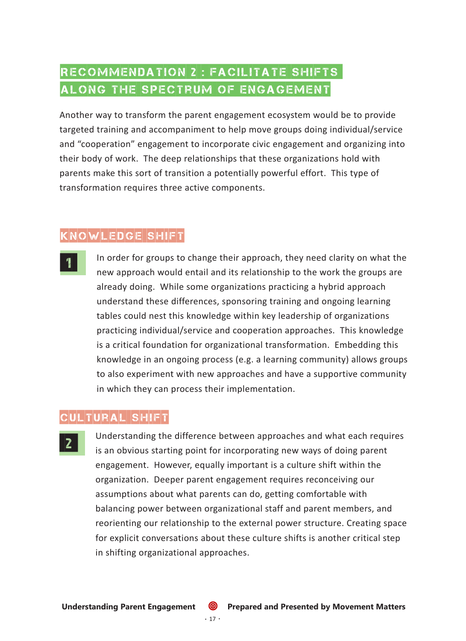### RECOMMENDATION 2 : Facilitate shifts along the spectrum of engagement

Another way to transform the parent engagement ecosystem would be to provide targeted training and accompaniment to help move groups doing individual/service and "cooperation" engagement to incorporate civic engagement and organizing into their body of work. The deep relationships that these organizations hold with parents make this sort of transition a potentially powerful effort. This type of transformation requires three active components.

#### KNOWLEDGE SHIFT

In order for groups to change their approach, they need clarity on what the new approach would entail and its relationship to the work the groups are already doing. While some organizations practicing a hybrid approach understand these differences, sponsoring training and ongoing learning tables could nest this knowledge within key leadership of organizations practicing individual/service and cooperation approaches. This knowledge is a critical foundation for organizational transformation. Embedding this knowledge in an ongoing process (e.g. a learning community) allows groups to also experiment with new approaches and have a supportive community in which they can process their implementation.

#### CULTURAL SHIFT

1

 2 Understanding the difference between approaches and what each requires is an obvious starting point for incorporating new ways of doing parent engagement. However, equally important is a culture shift within the organization. Deeper parent engagement requires reconceiving our assumptions about what parents can do, getting comfortable with balancing power between organizational staff and parent members, and reorienting our relationship to the external power structure. Creating space for explicit conversations about these culture shifts is another critical step in shifting organizational approaches.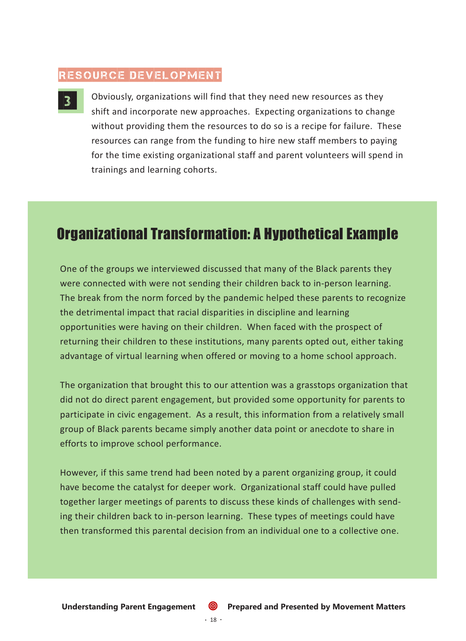#### Resource development

Obviously, organizations will find that they need new resources as they shift and incorporate new approaches. Expecting organizations to change without providing them the resources to do so is a recipe for failure. These resources can range from the funding to hire new staff members to paying for the time existing organizational staff and parent volunteers will spend in trainings and learning cohorts. 3

## Organizational Transformation: A Hypothetical Example

One of the groups we interviewed discussed that many of the Black parents they were connected with were not sending their children back to in-person learning. The break from the norm forced by the pandemic helped these parents to recognize the detrimental impact that racial disparities in discipline and learning opportunities were having on their children. When faced with the prospect of returning their children to these institutions, many parents opted out, either taking advantage of virtual learning when offered or moving to a home school approach.

The organization that brought this to our attention was a grasstops organization that did not do direct parent engagement, but provided some opportunity for parents to participate in civic engagement. As a result, this information from a relatively small group of Black parents became simply another data point or anecdote to share in efforts to improve school performance.

However, if this same trend had been noted by a parent organizing group, it could have become the catalyst for deeper work. Organizational staff could have pulled together larger meetings of parents to discuss these kinds of challenges with sending their children back to in-person learning. These types of meetings could have then transformed this parental decision from an individual one to a collective one.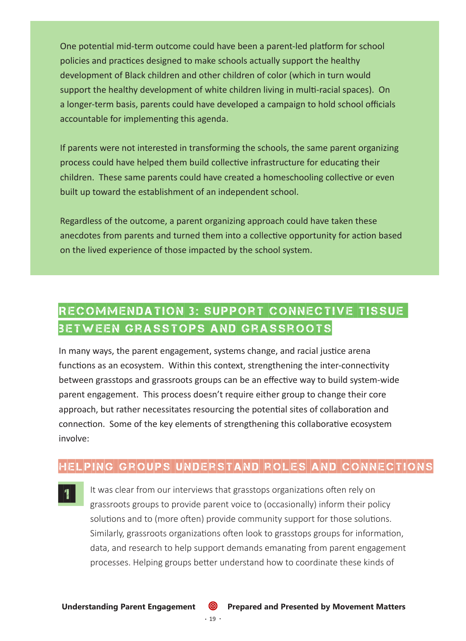One potential mid-term outcome could have been a parent-led platform for school policies and practices designed to make schools actually support the healthy development of Black children and other children of color (which in turn would support the healthy development of white children living in multi-racial spaces). On a longer-term basis, parents could have developed a campaign to hold school officials accountable for implementing this agenda.

If parents were not interested in transforming the schools, the same parent organizing process could have helped them build collective infrastructure for educating their children. These same parents could have created a homeschooling collective or even built up toward the establishment of an independent school.

Regardless of the outcome, a parent organizing approach could have taken these anecdotes from parents and turned them into a collective opportunity for action based on the lived experience of those impacted by the school system.

### RECOMMENDATION 3: Support connective tissue between grasstops and grassroots

In many ways, the parent engagement, systems change, and racial justice arena functions as an ecosystem. Within this context, strengthening the inter-connectivity between grasstops and grassroots groups can be an effective way to build system-wide parent engagement. This process doesn't require either group to change their core approach, but rather necessitates resourcing the potential sites of collaboration and connection. Some of the key elements of strengthening this collaborative ecosystem involve:

#### Helping groups understand roles and connections

It was clear from our interviews that grasstops organizations often rely on grassroots groups to provide parent voice to (occasionally) inform their policy solutions and to (more often) provide community support for those solutions. Similarly, grassroots organizations often look to grasstops groups for information, data, and research to help support demands emanating from parent engagement processes. Helping groups better understand how to coordinate these kinds of 1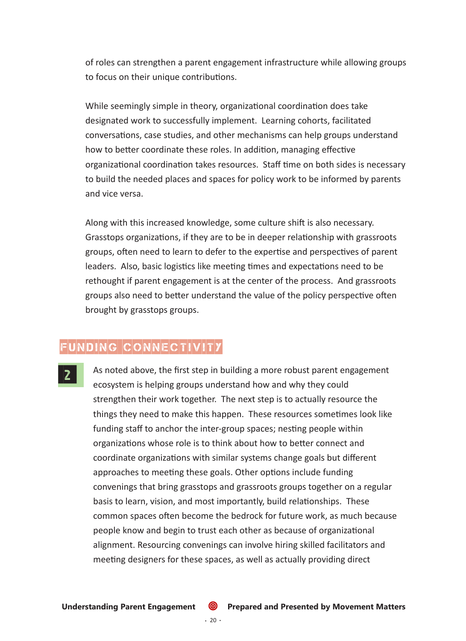of roles can strengthen a parent engagement infrastructure while allowing groups to focus on their unique contributions.

While seemingly simple in theory, organizational coordination does take designated work to successfully implement. Learning cohorts, facilitated conversations, case studies, and other mechanisms can help groups understand how to better coordinate these roles. In addition, managing effective organizational coordination takes resources. Staff time on both sides is necessary to build the needed places and spaces for policy work to be informed by parents and vice versa.

Along with this increased knowledge, some culture shift is also necessary. Grasstops organizations, if they are to be in deeper relationship with grassroots groups, often need to learn to defer to the expertise and perspectives of parent leaders. Also, basic logistics like meeting times and expectations need to be rethought if parent engagement is at the center of the process. And grassroots groups also need to better understand the value of the policy perspective often brought by grasstops groups.

#### FUNDING CONNECTIVITY

**2** As noted above, the first step in building a more robust parent engagement ecosystem is helping groups understand how and why they could strengthen their work together. The next step is to actually resource the things they need to make this happen. These resources sometimes look like funding staff to anchor the inter-group spaces; nesting people within organizations whose role is to think about how to better connect and coordinate organizations with similar systems change goals but different approaches to meeting these goals. Other options include funding convenings that bring grasstops and grassroots groups together on a regular basis to learn, vision, and most importantly, build relationships. These common spaces often become the bedrock for future work, as much because people know and begin to trust each other as because of organizational alignment. Resourcing convenings can involve hiring skilled facilitators and meeting designers for these spaces, as well as actually providing direct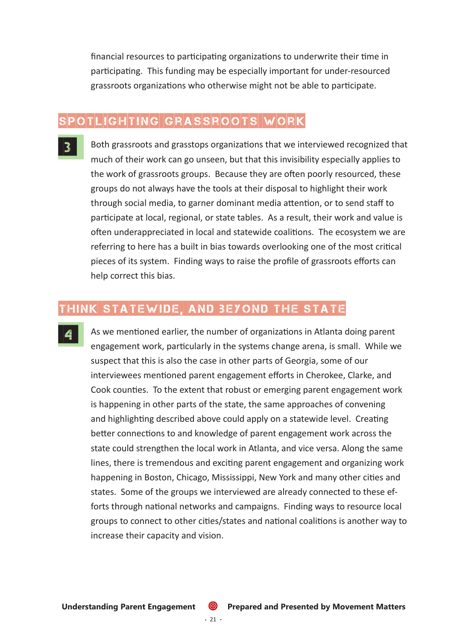financial resources to participating organizations to underwrite their time in participating. This funding may be especially important for under-resourced grassroots organizations who otherwise might not be able to participate.

#### Spotlighting grassroots work

 3 Both grassroots and grasstops organizations that we interviewed recognized that much of their work can go unseen, but that this invisibility especially applies to the work of grassroots groups. Because they are often poorly resourced, these groups do not always have the tools at their disposal to highlight their work through social media, to garner dominant media attention, or to send staff to participate at local, regional, or state tables. As a result, their work and value is often underappreciated in local and statewide coalitions. The ecosystem we are referring to here has a built in bias towards overlooking one of the most critical pieces of its system. Finding ways to raise the profile of grassroots efforts can help correct this bias.

#### HINK STATEWIDE, AND BEYOND THE STATE

 4 As we mentioned earlier, the number of organizations in Atlanta doing parent engagement work, particularly in the systems change arena, is small. While we suspect that this is also the case in other parts of Georgia, some of our interviewees mentioned parent engagement efforts in Cherokee, Clarke, and Cook counties. To the extent that robust or emerging parent engagement work is happening in other parts of the state, the same approaches of convening and highlighting described above could apply on a statewide level. Creating better connections to and knowledge of parent engagement work across the state could strengthen the local work in Atlanta, and vice versa. Along the same lines, there is tremendous and exciting parent engagement and organizing work happening in Boston, Chicago, Mississippi, New York and many other cities and states. Some of the groups we interviewed are already connected to these efforts through national networks and campaigns. Finding ways to resource local groups to connect to other cities/states and national coalitions is another way to increase their capacity and vision.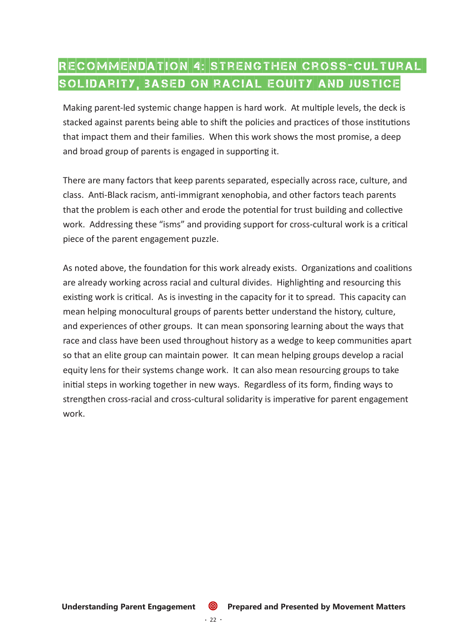### RECOMMENDATION 4: Strengthen cross-cultural solidarity, based on racial equity and justice

Making parent-led systemic change happen is hard work. At multiple levels, the deck is stacked against parents being able to shift the policies and practices of those institutions that impact them and their families. When this work shows the most promise, a deep and broad group of parents is engaged in supporting it.

There are many factors that keep parents separated, especially across race, culture, and class. Anti-Black racism, anti-immigrant xenophobia, and other factors teach parents that the problem is each other and erode the potential for trust building and collective work. Addressing these "isms" and providing support for cross-cultural work is a critical piece of the parent engagement puzzle.

As noted above, the foundation for this work already exists. Organizations and coalitions are already working across racial and cultural divides. Highlighting and resourcing this existing work is critical. As is investing in the capacity for it to spread. This capacity can mean helping monocultural groups of parents better understand the history, culture, and experiences of other groups. It can mean sponsoring learning about the ways that race and class have been used throughout history as a wedge to keep communities apart so that an elite group can maintain power. It can mean helping groups develop a racial equity lens for their systems change work. It can also mean resourcing groups to take initial steps in working together in new ways. Regardless of its form, finding ways to strengthen cross-racial and cross-cultural solidarity is imperative for parent engagement work.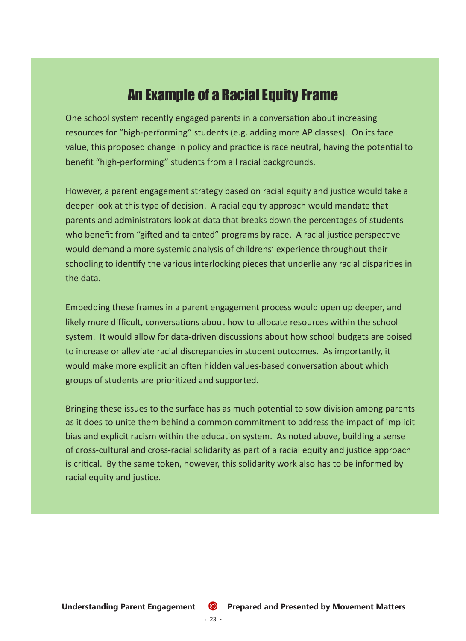# An Example of a Racial Equity Frame

One school system recently engaged parents in a conversation about increasing resources for "high-performing" students (e.g. adding more AP classes). On its face value, this proposed change in policy and practice is race neutral, having the potential to benefit "high-performing" students from all racial backgrounds.

However, a parent engagement strategy based on racial equity and justice would take a deeper look at this type of decision. A racial equity approach would mandate that parents and administrators look at data that breaks down the percentages of students who benefit from "gifted and talented" programs by race. A racial justice perspective would demand a more systemic analysis of childrens' experience throughout their schooling to identify the various interlocking pieces that underlie any racial disparities in the data.

Embedding these frames in a parent engagement process would open up deeper, and likely more difficult, conversations about how to allocate resources within the school system. It would allow for data-driven discussions about how school budgets are poised to increase or alleviate racial discrepancies in student outcomes. As importantly, it would make more explicit an often hidden values-based conversation about which groups of students are prioritized and supported.

Bringing these issues to the surface has as much potential to sow division among parents as it does to unite them behind a common commitment to address the impact of implicit bias and explicit racism within the education system. As noted above, building a sense of cross-cultural and cross-racial solidarity as part of a racial equity and justice approach is critical. By the same token, however, this solidarity work also has to be informed by racial equity and justice.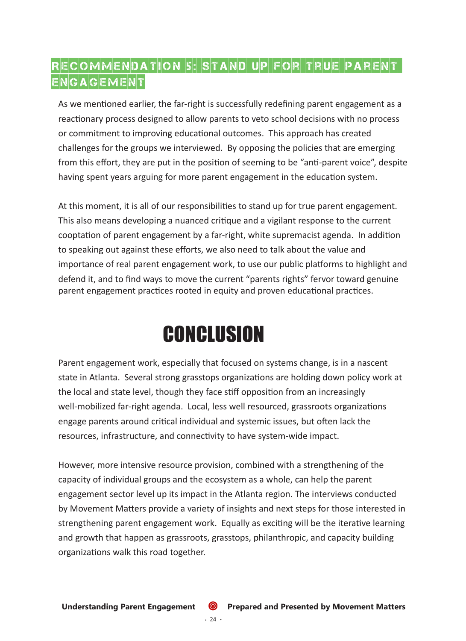## RECOMMENDATION 5: Stand up for true parent **ENGAGEMENT**

As we mentioned earlier, the far-right is successfully redefining parent engagement as a reactionary process designed to allow parents to veto school decisions with no process or commitment to improving educational outcomes. This approach has created challenges for the groups we interviewed. By opposing the policies that are emerging from this effort, they are put in the position of seeming to be "anti-parent voice", despite having spent years arguing for more parent engagement in the education system.

At this moment, it is all of our responsibilities to stand up for true parent engagement. This also means developing a nuanced critique and a vigilant response to the current cooptation of parent engagement by a far-right, white supremacist agenda. In addition to speaking out against these efforts, we also need to talk about the value and importance of real parent engagement work, to use our public platforms to highlight and defend it, and to find ways to move the current "parents rights" fervor toward genuine parent engagement practices rooted in equity and proven educational practices.

# **CONCLUSION**

Parent engagement work, especially that focused on systems change, is in a nascent state in Atlanta. Several strong grasstops organizations are holding down policy work at the local and state level, though they face stiff opposition from an increasingly well-mobilized far-right agenda. Local, less well resourced, grassroots organizations engage parents around critical individual and systemic issues, but often lack the resources, infrastructure, and connectivity to have system-wide impact.

However, more intensive resource provision, combined with a strengthening of the capacity of individual groups and the ecosystem as a whole, can help the parent engagement sector level up its impact in the Atlanta region. The interviews conducted by Movement Matters provide a variety of insights and next steps for those interested in strengthening parent engagement work. Equally as exciting will be the iterative learning and growth that happen as grassroots, grasstops, philanthropic, and capacity building organizations walk this road together.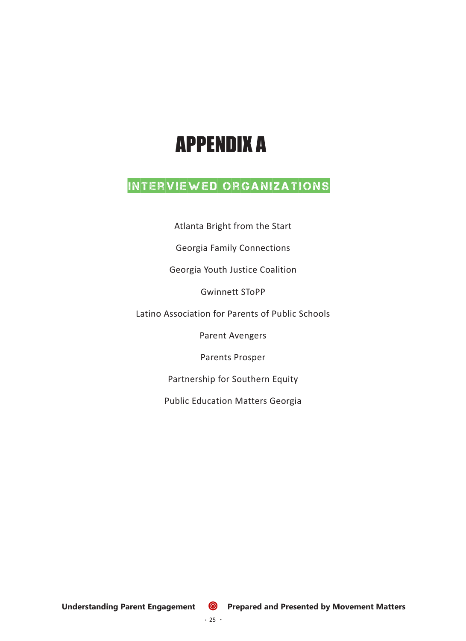# APPENDIX A

### Interviewed Organizations

Atlanta Bright from the Start

Georgia Family Connections

Georgia Youth Justice Coalition

Gwinnett SToPP

Latino Association for Parents of Public Schools

Parent Avengers

Parents Prosper

Partnership for Southern Equity

Public Education Matters Georgia

 **Understanding Parent Engagement © Prepared and Presented by Movement Matters**